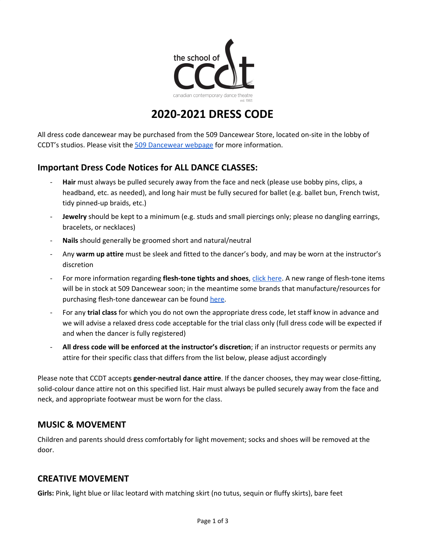

# **2020-2021 DRESS CODE**

All dress code dancewear may be purchased from the 509 Dancewear Store, located on-site in the lobby of CCDT's studios. Please visit the 509 [Dancewear](https://www.theschoolofccdt.ca/509-dance-wear) webpage for more information.

# **Important Dress Code Notices for ALL DANCE CLASSES:**

- Hair must always be pulled securely away from the face and neck (please use bobby pins, clips, a headband, etc. as needed), and long hair must be fully secured for ballet (e.g. ballet bun, French twist, tidy pinned-up braids, etc.)
- **Jewelry** should be kept to a minimum (e.g. studs and small piercings only; please no dangling earrings, bracelets, or necklaces)
- **Nails** should generally be groomed short and natural/neutral
- Any **warm up attire** must be sleek and fitted to the dancer's body, and may be worn at the instructor's discretion
- For more information regarding **flesh-tone tights and shoes**, click [here](https://www.dancemagazine.com/ballet-flesh-tone-tights-2612825762.html?rebelltitem=1#rebelltitem1). A new range of flesh-tone items will be in stock at 509 Dancewear soon; in the meantime some brands that manufacture/resources for purchasing flesh-tone dancewear can be found [here](https://fleshtone.net/).
- For any **trial class** for which you do not own the appropriate dress code, let staff know in advance and we will advise a relaxed dress code acceptable for the trial class only (full dress code will be expected if and when the dancer is fully registered)
- **All dress code will be enforced at the instructor's discretion**; if an instructor requests or permits any attire for their specific class that differs from the list below, please adjust accordingly

Please note that CCDT accepts **gender-neutral dance attire**. If the dancer chooses, they may wear close-fitting, solid-colour dance attire not on this specified list. Hair must always be pulled securely away from the face and neck, and appropriate footwear must be worn for the class.

# **MUSIC & MOVEMENT**

Children and parents should dress comfortably for light movement; socks and shoes will be removed at the door.

# **CREATIVE MOVEMENT**

**Girls:** Pink, light blue or lilac leotard with matching skirt (no tutus, sequin or fluffy skirts), bare feet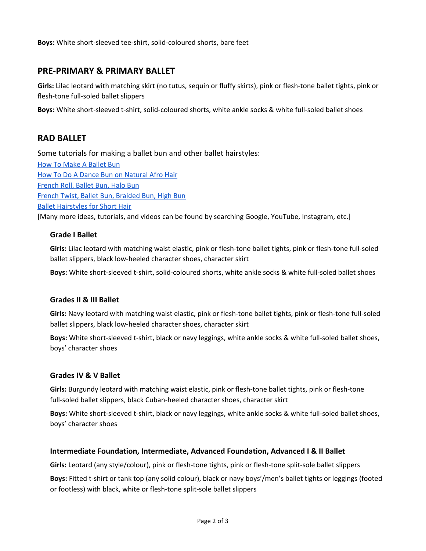**Boys:** White short-sleeved tee-shirt, solid-coloured shorts, bare feet

### **PRE-PRIMARY & PRIMARY BALLET**

**Girls:** Lilac leotard with matching skirt (no tutus, sequin or fluffy skirts), pink or flesh-tone ballet tights, pink or flesh-tone full-soled ballet slippers

**Boys:** White short-sleeved t-shirt, solid-coloured shorts, white ankle socks & white full-soled ballet shoes

### **RAD BALLET**

Some tutorials for making a ballet bun and other ballet hairstyles:

How To Make A [Ballet](https://www.pdedancesupplies.com/pages/how-to-make-a-ballet-bun) Bun How To Do A Dance Bun on [Natural](https://www.youtube.com/watch?v=Ef0AW8oPLag) Afro Hair [French](https://www.youtube.com/watch?v=L2JOnRG5nPI) Roll, Ballet Bun, Halo Bun French Twist, Ballet Bun, [Braided](https://www.youtube.com/watch?v=LZWaqNi0o3w) Bun, High Bun Ballet [Hairstyles](https://www.youtube.com/watch?v=FQmGh_RBp0c) for Short Hair [Many more ideas, tutorials, and videos can be found by searching Google, YouTube, Instagram, etc.]

#### **Grade I Ballet**

**Girls:** Lilac leotard with matching waist elastic, pink or flesh-tone ballet tights, pink or flesh-tone full-soled ballet slippers, black low-heeled character shoes, character skirt

**Boys:** White short-sleeved t-shirt, solid-coloured shorts, white ankle socks & white full-soled ballet shoes

#### **Grades II & III Ballet**

**Girls:** Navy leotard with matching waist elastic, pink or flesh-tone ballet tights, pink or flesh-tone full-soled ballet slippers, black low-heeled character shoes, character skirt

**Boys:** White short-sleeved t-shirt, black or navy leggings, white ankle socks & white full-soled ballet shoes, boys' character shoes

#### **Grades IV & V Ballet**

**Girls:** Burgundy leotard with matching waist elastic, pink or flesh-tone ballet tights, pink or flesh-tone full-soled ballet slippers, black Cuban-heeled character shoes, character skirt

**Boys:** White short-sleeved t-shirt, black or navy leggings, white ankle socks & white full-soled ballet shoes, boys' character shoes

#### **Intermediate Foundation, Intermediate, Advanced Foundation, Advanced I & II Ballet**

**Girls:** Leotard (any style/colour), pink or flesh-tone tights, pink or flesh-tone split-sole ballet slippers

**Boys:** Fitted t-shirt or tank top (any solid colour), black or navy boys'/men's ballet tights or leggings (footed or footless) with black, white or flesh-tone split-sole ballet slippers